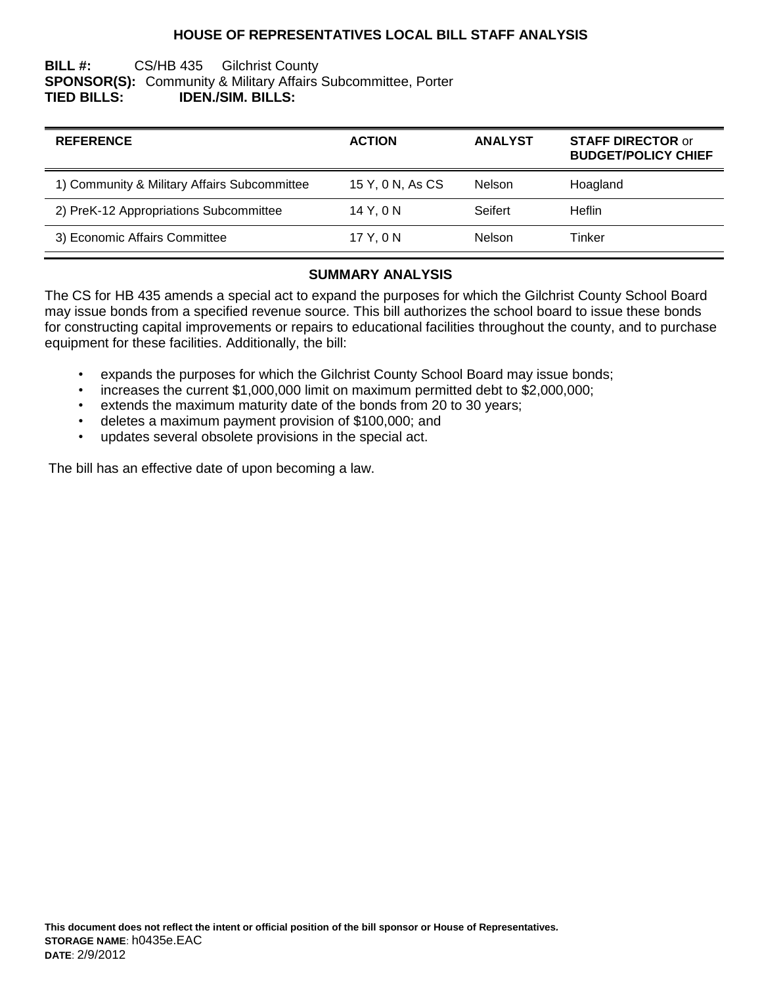## **HOUSE OF REPRESENTATIVES LOCAL BILL STAFF ANALYSIS**

## **BILL #:** CS/HB 435 Gilchrist County **SPONSOR(S):** Community & Military Affairs Subcommittee, Porter **TIED BILLS: IDEN./SIM. BILLS:**

| <b>REFERENCE</b>                             | <b>ACTION</b>    | <b>ANALYST</b> | <b>STAFF DIRECTOR or</b><br><b>BUDGET/POLICY CHIEF</b> |
|----------------------------------------------|------------------|----------------|--------------------------------------------------------|
| 1) Community & Military Affairs Subcommittee | 15 Y, 0 N, As CS | <b>Nelson</b>  | Hoagland                                               |
| 2) PreK-12 Appropriations Subcommittee       | 14 Y. 0 N        | Seifert        | <b>Heflin</b>                                          |
| 3) Economic Affairs Committee                | 17 Y, 0 N        | Nelson         | Tinker                                                 |

## **SUMMARY ANALYSIS**

The CS for HB 435 amends a special act to expand the purposes for which the Gilchrist County School Board may issue bonds from a specified revenue source. This bill authorizes the school board to issue these bonds for constructing capital improvements or repairs to educational facilities throughout the county, and to purchase equipment for these facilities. Additionally, the bill:

- expands the purposes for which the Gilchrist County School Board may issue bonds;
- increases the current \$1,000,000 limit on maximum permitted debt to \$2,000,000;
- extends the maximum maturity date of the bonds from 20 to 30 years;
- deletes a maximum payment provision of \$100,000; and
- updates several obsolete provisions in the special act.

The bill has an effective date of upon becoming a law.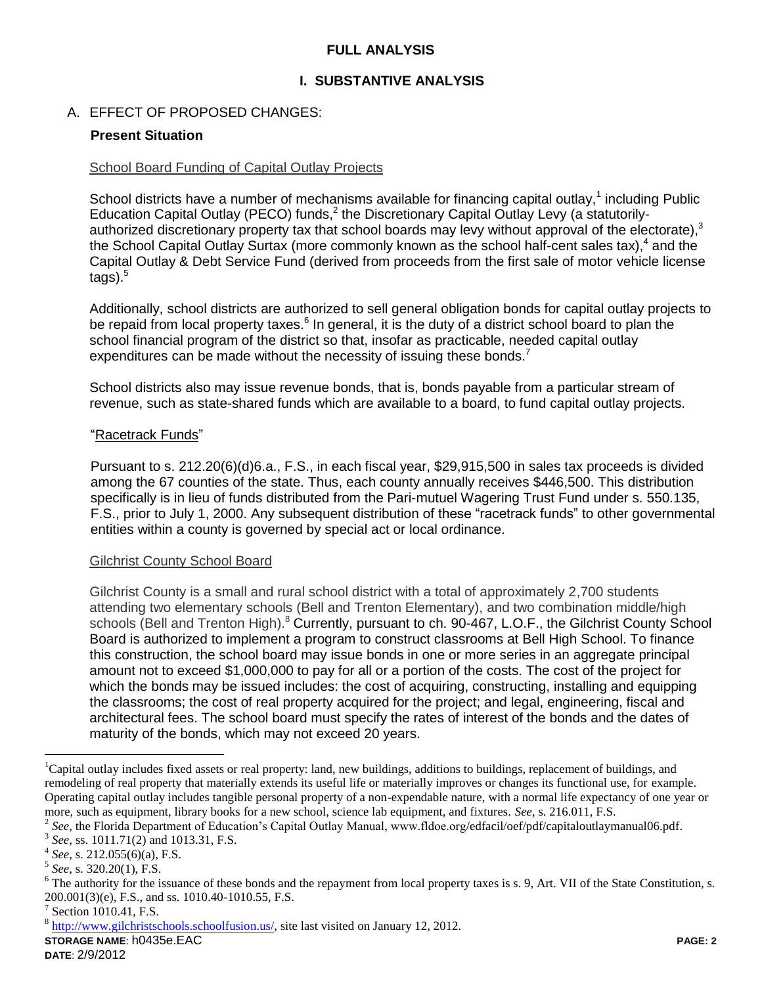## **FULL ANALYSIS**

## **I. SUBSTANTIVE ANALYSIS**

## A. EFFECT OF PROPOSED CHANGES:

### **Present Situation**

#### School Board Funding of Capital Outlay Projects

School districts have a number of mechanisms available for financing capital outlay,<sup>1</sup> including Public Education Capital Outlay (PECO) funds,<sup>2</sup> the Discretionary Capital Outlay Levy (a statutorilyauthorized discretionary property tax that school boards may levy without approval of the electorate), $3$ the School Capital Outlay Surtax (more commonly known as the school half-cent sales tax),<sup>4</sup> and the Capital Outlay & Debt Service Fund (derived from proceeds from the first sale of motor vehicle license  $t$ ags). $5$ 

Additionally, school districts are authorized to sell general obligation bonds for capital outlay projects to be repaid from local property taxes.<sup>6</sup> In general, it is the duty of a district school board to plan the school financial program of the district so that, insofar as practicable, needed capital outlay expenditures can be made without the necessity of issuing these bonds.<sup>7</sup>

School districts also may issue revenue bonds, that is, bonds payable from a particular stream of revenue, such as state-shared funds which are available to a board, to fund capital outlay projects.

#### "Racetrack Funds"

Pursuant to s. 212.20(6)(d)6.a., F.S., in each fiscal year, \$29,915,500 in sales tax proceeds is divided among the 67 counties of the state. Thus, each county annually receives \$446,500. This distribution specifically is in lieu of funds distributed from the Pari-mutuel Wagering Trust Fund under s. 550.135, F.S., prior to July 1, 2000. Any subsequent distribution of these "racetrack funds" to other governmental entities within a county is governed by special act or local ordinance.

#### Gilchrist County School Board

Gilchrist County is a small and rural school district with a total of approximately 2,700 students attending two elementary schools (Bell and Trenton Elementary), and two combination middle/high schools (Bell and Trenton High).<sup>8</sup> Currently, pursuant to ch. 90-467, L.O.F., the Gilchrist County School Board is authorized to implement a program to construct classrooms at Bell High School. To finance this construction, the school board may issue bonds in one or more series in an aggregate principal amount not to exceed \$1,000,000 to pay for all or a portion of the costs. The cost of the project for which the bonds may be issued includes: the cost of acquiring, constructing, installing and equipping the classrooms; the cost of real property acquired for the project; and legal, engineering, fiscal and architectural fees. The school board must specify the rates of interest of the bonds and the dates of maturity of the bonds, which may not exceed 20 years.

 $\overline{a}$ 

<sup>&</sup>lt;sup>1</sup>Capital outlay includes fixed assets or real property: land, new buildings, additions to buildings, replacement of buildings, and remodeling of real property that materially extends its useful life or materially improves or changes its functional use, for example. Operating capital outlay includes tangible personal property of a non-expendable nature, with a normal life expectancy of one year or more, such as equipment, library books for a new school, science lab equipment, and fixtures. *See*, s. 216.011, F.S.

<sup>&</sup>lt;sup>2</sup> See, the Florida Department of Education's Capital Outlay Manual, www.fldoe.org/edfacil/oef/pdf/capitaloutlaymanual06.pdf.

<sup>3</sup> *See,* ss. 1011.71(2) and 1013.31, F.S.

<sup>4</sup> *See*, s. 212.055(6)(a), F.S.

<sup>5</sup> *See*, s. 320.20(1), F.S.

 $6$  The authority for the issuance of these bonds and the repayment from local property taxes is s. 9, Art. VII of the State Constitution, s. 200.001(3)(e), F.S., and ss. 1010.40-1010.55, F.S.

<sup>&</sup>lt;sup>7</sup> Section 1010.41, F.S.

 $8 \frac{\text{http://www.gilchristschools.schoolfusion.us/}}{\text{http://www.gilchristschools.schoolfusion.us/}}$  site last visited on January 12, 2012.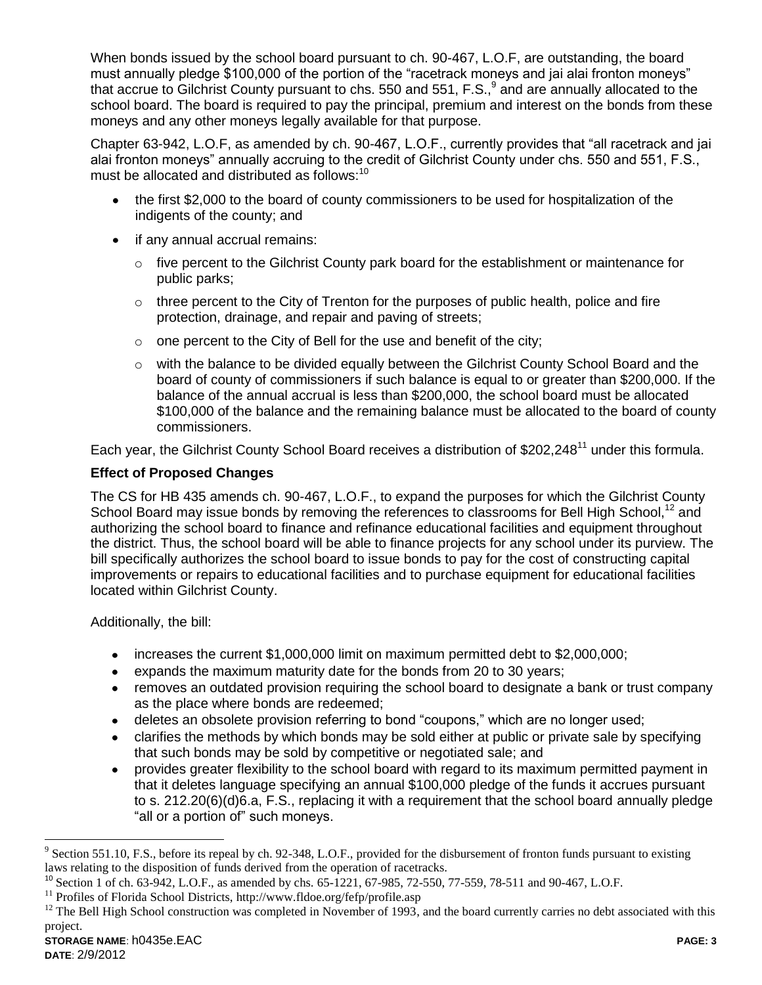When bonds issued by the school board pursuant to ch. 90-467, L.O.F, are outstanding, the board must annually pledge \$100,000 of the portion of the "racetrack moneys and jai alai fronton moneys" that accrue to Gilchrist County pursuant to chs. 550 and 551, F.S.,  $9$  and are annually allocated to the school board. The board is required to pay the principal, premium and interest on the bonds from these moneys and any other moneys legally available for that purpose.

Chapter 63-942, L.O.F, as amended by ch. 90-467, L.O.F., currently provides that "all racetrack and jai alai fronton moneys" annually accruing to the credit of Gilchrist County under chs. 550 and 551, F.S., must be allocated and distributed as follows:<sup>10</sup>

- the first \$2,000 to the board of county commissioners to be used for hospitalization of the indigents of the county; and
- if any annual accrual remains:
	- $\circ$  five percent to the Gilchrist County park board for the establishment or maintenance for public parks;
	- $\circ$  three percent to the City of Trenton for the purposes of public health, police and fire protection, drainage, and repair and paving of streets;
	- $\circ$  one percent to the City of Bell for the use and benefit of the city;
	- $\circ$  with the balance to be divided equally between the Gilchrist County School Board and the board of county of commissioners if such balance is equal to or greater than \$200,000. If the balance of the annual accrual is less than \$200,000, the school board must be allocated \$100,000 of the balance and the remaining balance must be allocated to the board of county commissioners.

Each year, the Gilchrist County School Board receives a distribution of \$202,248<sup>11</sup> under this formula.

# **Effect of Proposed Changes**

The CS for HB 435 amends ch. 90-467, L.O.F., to expand the purposes for which the Gilchrist County School Board may issue bonds by removing the references to classrooms for Bell High School,<sup>12</sup> and authorizing the school board to finance and refinance educational facilities and equipment throughout the district. Thus, the school board will be able to finance projects for any school under its purview. The bill specifically authorizes the school board to issue bonds to pay for the cost of constructing capital improvements or repairs to educational facilities and to purchase equipment for educational facilities located within Gilchrist County.

Additionally, the bill:

- increases the current \$1,000,000 limit on maximum permitted debt to \$2,000,000;
- expands the maximum maturity date for the bonds from 20 to 30 years;
- removes an outdated provision requiring the school board to designate a bank or trust company as the place where bonds are redeemed;
- deletes an obsolete provision referring to bond "coupons," which are no longer used;
- clarifies the methods by which bonds may be sold either at public or private sale by specifying that such bonds may be sold by competitive or negotiated sale; and
- provides greater flexibility to the school board with regard to its maximum permitted payment in  $\bullet$ that it deletes language specifying an annual \$100,000 pledge of the funds it accrues pursuant to s. 212.20(6)(d)6.a, F.S., replacing it with a requirement that the school board annually pledge "all or a portion of" such moneys.

 $\overline{a}$ 

 $9^9$  Section 551.10, F.S., before its repeal by ch. 92-348, L.O.F., provided for the disbursement of fronton funds pursuant to existing laws relating to the disposition of funds derived from the operation of racetracks.

<sup>&</sup>lt;sup>10</sup> Section 1 of ch. 63-942, L.O.F., as amended by chs. 65-1221, 67-985, 72-550, 77-559, 78-511 and 90-467, L.O.F.

 $^{11}$  Profiles of Florida School Districts, http://www.fldoe.org/fefp/profile.asp

 $12$  The Bell High School construction was completed in November of 1993, and the board currently carries no debt associated with this project.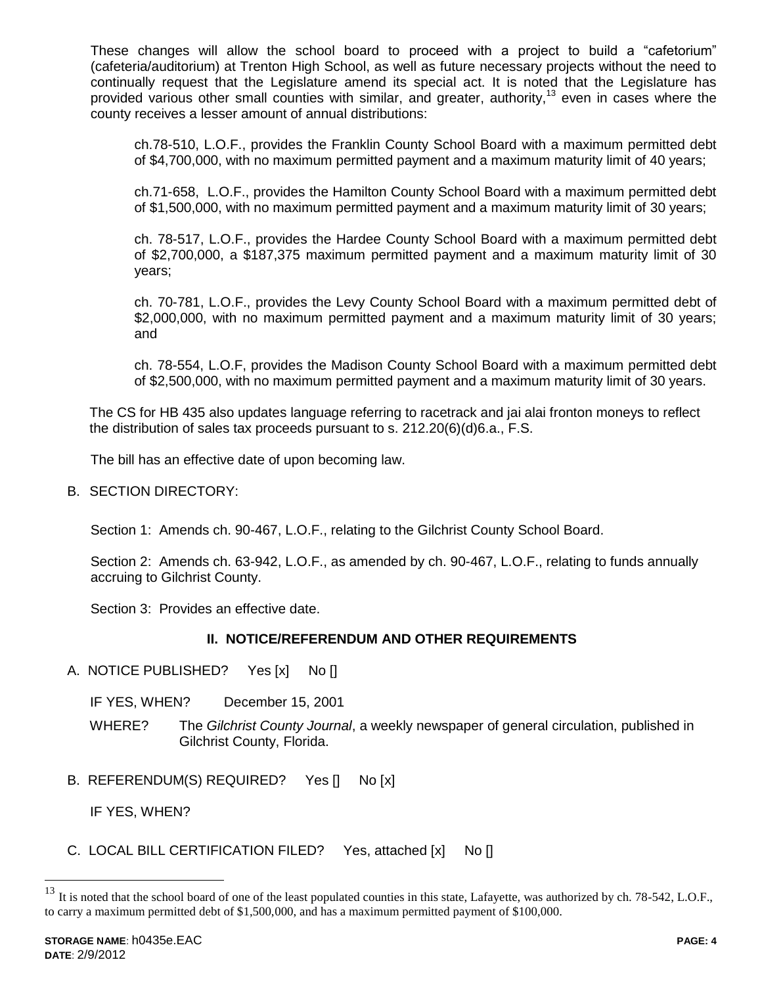These changes will allow the school board to proceed with a project to build a "cafetorium" (cafeteria/auditorium) at Trenton High School, as well as future necessary projects without the need to continually request that the Legislature amend its special act. It is noted that the Legislature has provided various other small counties with similar, and greater, authority,<sup>13</sup> even in cases where the county receives a lesser amount of annual distributions:

ch.78-510, L.O.F., provides the Franklin County School Board with a maximum permitted debt of \$4,700,000, with no maximum permitted payment and a maximum maturity limit of 40 years;

ch.71-658, L.O.F., provides the Hamilton County School Board with a maximum permitted debt of \$1,500,000, with no maximum permitted payment and a maximum maturity limit of 30 years;

ch. 78-517, L.O.F., provides the Hardee County School Board with a maximum permitted debt of \$2,700,000, a \$187,375 maximum permitted payment and a maximum maturity limit of 30 years;

ch. 70-781, L.O.F., provides the Levy County School Board with a maximum permitted debt of \$2,000,000, with no maximum permitted payment and a maximum maturity limit of 30 years; and

ch. 78-554, L.O.F, provides the Madison County School Board with a maximum permitted debt of \$2,500,000, with no maximum permitted payment and a maximum maturity limit of 30 years.

The CS for HB 435 also updates language referring to racetrack and jai alai fronton moneys to reflect the distribution of sales tax proceeds pursuant to s. 212.20(6)(d)6.a., F.S.

The bill has an effective date of upon becoming law.

B. SECTION DIRECTORY:

Section 1: Amends ch. 90-467, L.O.F., relating to the Gilchrist County School Board.

Section 2: Amends ch. 63-942, L.O.F., as amended by ch. 90-467, L.O.F., relating to funds annually accruing to Gilchrist County.

Section 3: Provides an effective date.

## **II. NOTICE/REFERENDUM AND OTHER REQUIREMENTS**

- A. NOTICE PUBLISHED? Yes [x] No []
	- IF YES, WHEN? December 15, 2001
	- WHERE? The *Gilchrist County Journal*, a weekly newspaper of general circulation, published in Gilchrist County, Florida.
- B. REFERENDUM(S) REQUIRED? Yes [] No [x]

IF YES, WHEN?

C. LOCAL BILL CERTIFICATION FILED? Yes, attached [x] No []

 $\overline{a}$ 

 $^{13}$  It is noted that the school board of one of the least populated counties in this state, Lafayette, was authorized by ch. 78-542, L.O.F., to carry a maximum permitted debt of \$1,500,000, and has a maximum permitted payment of \$100,000.